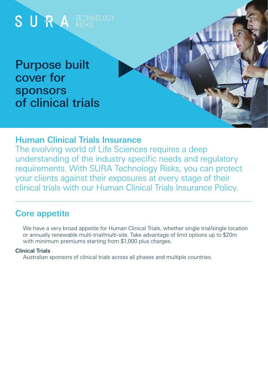

## Human Clinical Trials Insurance

The evolving world of Life Sciences requires a deep understanding of the industry specific needs and regulatory requirements. With SURA Technology Risks, you can protect your clients against their exposures at every stage of their clinical trials with our Human Clinical Trials Insurance Policy.

### Core appetite

We have a very broad appetite for Human Clinical Trials, whether single trial/single location or annually renewable multi-trial/multi-site. Take advantage of limit options up to \$20m with minimum premiums starting from \$1,000 plus charges.

### Clinical Trials

Australian sponsors of clinical trials across all phases and multiple countries.